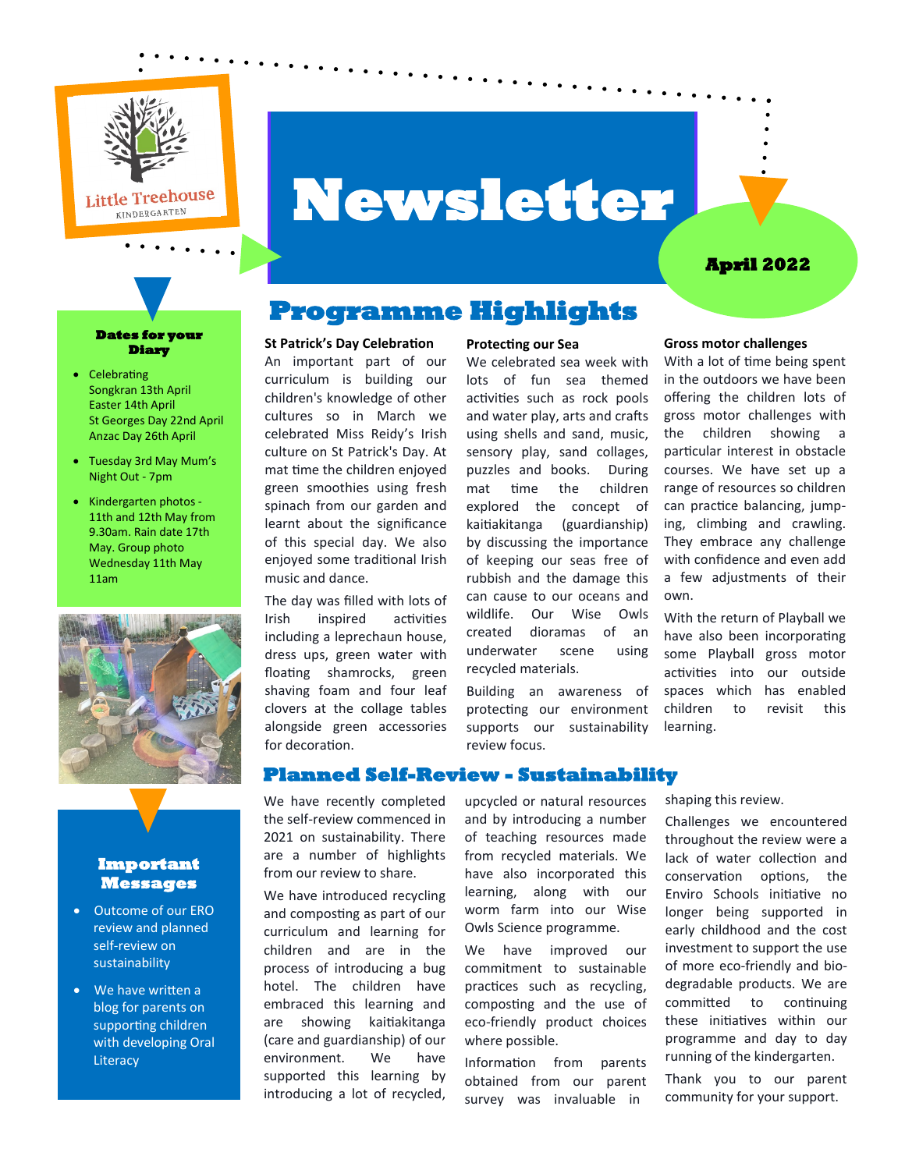

# **Newsletter**

### **April 2022**

# **Programme Highlights**

#### **St Patrick's Day Celebration**

An important part of our curriculum is building our children's knowledge of other cultures so in March we celebrated Miss Reidy's Irish culture on St Patrick's Day. At mat time the children enjoyed green smoothies using fresh spinach from our garden and learnt about the significance of this special day. We also enjoyed some traditional Irish music and dance.

The day was filled with lots of Irish inspired activities including a leprechaun house, dress ups, green water with floating shamrocks, green shaving foam and four leaf clovers at the collage tables alongside green accessories for decoration.

## **Protecting our Sea**

We celebrated sea week with lots of fun sea themed activities such as rock pools and water play, arts and crafts using shells and sand, music, sensory play, sand collages, puzzles and books. During mat time the children explored the concept of kaitiakitanga (guardianship) by discussing the importance of keeping our seas free of rubbish and the damage this can cause to our oceans and wildlife. Our Wise Owls created dioramas of an underwater scene using recycled materials.

Building an awareness of protecting our environment supports our sustainability review focus.

## **Gross motor challenges** With a lot of time being spent

in the outdoors we have been offering the children lots of gross motor challenges with the children showing a particular interest in obstacle courses. We have set up a range of resources so children can practice balancing, jumping, climbing and crawling. They embrace any challenge with confidence and even add a few adjustments of their own.

With the return of Playball we have also been incorporating some Playball gross motor activities into our outside spaces which has enabled children to revisit this learning.

## **Planned Self-Review - Sustainability**

We have recently completed the self-review commenced in 2021 on sustainability. There are a number of highlights from our review to share.

We have introduced recycling and composting as part of our curriculum and learning for children and are in the process of introducing a bug hotel. The children have embraced this learning and are showing kaitiakitanga (care and guardianship) of our environment. We have supported this learning by introducing a lot of recycled,

upcycled or natural resources and by introducing a number of teaching resources made from recycled materials. We have also incorporated this learning, along with our worm farm into our Wise Owls Science programme.

We have improved our commitment to sustainable practices such as recycling, composting and the use of eco-friendly product choices where possible.

Information from parents obtained from our parent survey was invaluable in

shaping this review.

Challenges we encountered throughout the review were a lack of water collection and conservation options, the Enviro Schools initiative no longer being supported in early childhood and the cost investment to support the use of more eco-friendly and biodegradable products. We are committed to continuing these initiatives within our programme and day to day running of the kindergarten.

Thank you to our parent community for your support.

#### **Dates for your Diary**

- Celebrating Songkran 13th April Easter 14th April St Georges Day 22nd April Anzac Day 26th April
- Tuesday 3rd May Mum's Night Out - 7pm
- Kindergarten photos 11th and 12th May from 9.30am. Rain date 17th May. Group photo Wednesday 11th May 11am



#### **Important Messages**

- Outcome of our ERO review and planned self-review on sustainability
- We have written a blog for parents on supporting children with developing Oral **Literacy**